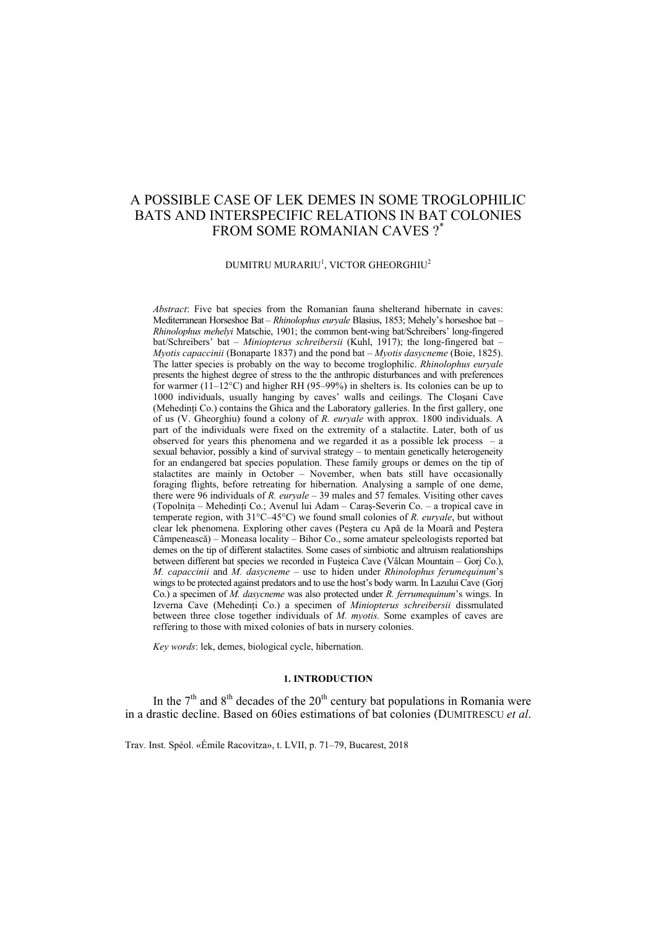# A POSSIBLE CASE OF LEK DEMES IN SOME TROGLOPHILIC BATS AND INTERSPECIFIC RELATIONS IN BAT COLONIES FROM SOME ROMANIAN CAVES ?\*

### $\tt DUMITRU MURARIU^1, VICTOR GHEORGHIU^2$

*Abstract*: Five bat species from the Romanian fauna shelterand hibernate in caves: Mediterranean Horseshoe Bat – *Rhinolophus euryale* Blasius, 1853; Mehely's horseshoe bat – *Rhinolophus mehelyi* Matschie, 1901; the common bent-wing bat/Schreibers' long-fingered bat/Schreibers' bat – *Miniopterus schreibersii* (Kuhl, 1917); the long-fingered bat – *Myotis capaccinii* (Bonaparte 1837) and the pond bat – *Myotis dasycneme* (Boie, 1825). The latter species is probably on the way to become troglophilic. *Rhinolophus euryale*  presents the highest degree of stress to the the anthropic disturbances and with preferences for warmer  $(1\overline{1} - 12^{\circ}\text{C})$  and higher RH (95–99%) in shelters is. Its colonies can be up to 1000 individuals, usually hanging by caves' walls and ceilings. The Cloşani Cave (Mehedinti Co.) contains the Ghica and the Laboratory galleries. In the first gallery, one of us (V. Gheorghiu) found a colony of *R. euryale* with approx. 1800 individuals. A part of the individuals were fixed on the extremity of a stalactite. Later, both of us observed for years this phenomena and we regarded it as a possible lek process  $-$  a sexual behavior, possibly a kind of survival strategy – to mentain genetically heterogeneity for an endangered bat species population. These family groups or demes on the tip of stalactites are mainly in October – November, when bats still have occasionally foraging flights, before retreating for hibernation. Analysing a sample of one deme, there were 96 individuals of *R. euryale* – 39 males and 57 females. Visiting other caves (Topolniţa – Mehedinţi Co.; Avenul lui Adam – Caraş-Severin Co. – a tropical cave in temperate region, with 31°C–45°C) we found small colonies of *R. euryale*, but without clear lek phenomena. Exploring other caves (Peştera cu Apă de la Moară and Peştera Câmpenească) – Moneasa locality – Bihor Co., some amateur speleologists reported bat demes on the tip of different stalactites. Some cases of simbiotic and altruism realationships between different bat species we recorded in Fuşteica Cave (Vâlcan Mountain – Gorj Co.), *M. capaccinii* and *M. dasycneme* – use to hiden under *Rhinolophus ferumequinum*'s wings to be protected against predators and to use the host's body warm. In Lazului Cave (Gorj Co.) a specimen of *M. dasycneme* was also protected under *R. ferrumequinum*'s wings. In Izverna Cave (Mehedinţi Co.) a specimen of *Miniopterus schreibersii* dissmulated between three close together individuals of *M. myotis.* Some examples of caves are reffering to those with mixed colonies of bats in nursery colonies.

*Key words*: lek, demes, biological cycle, hibernation.

#### **1. INTRODUCTION**

In the  $7<sup>th</sup>$  and  $8<sup>th</sup>$  decades of the  $20<sup>th</sup>$  century bat populations in Romania were in a drastic decline. Based on 60ies estimations of bat colonies (DUMITRESCU *et al*.

Trav. Inst. Spéol. «Émile Racovitza», t. LVII, p. 71–79, Bucarest, 2018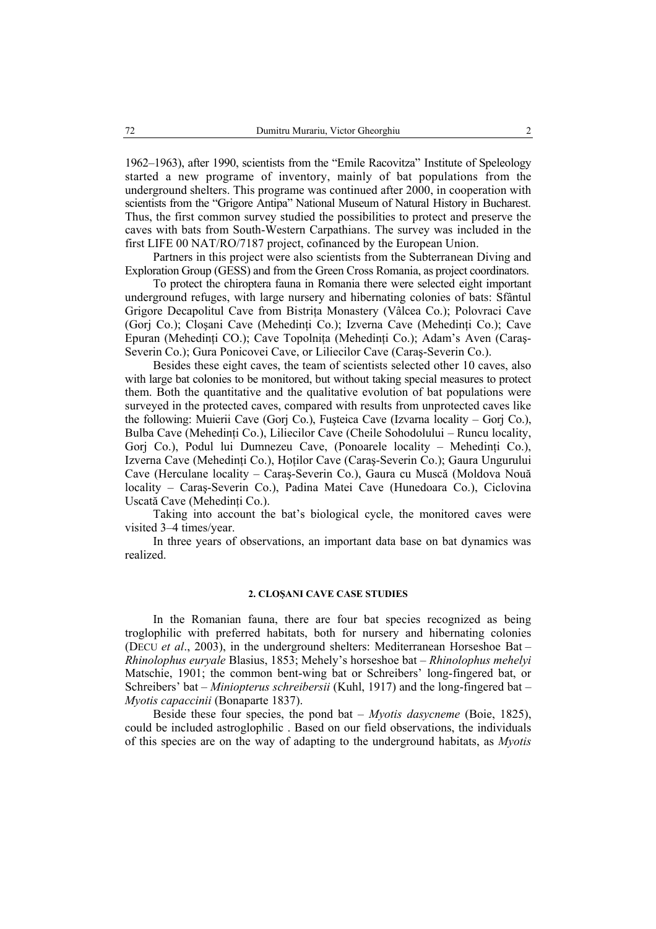1962–1963), after 1990, scientists from the "Emile Racovitza" Institute of Speleology started a new programe of inventory, mainly of bat populations from the underground shelters. This programe was continued after 2000, in cooperation with scientists from the "Grigore Antipa" National Museum of Natural History in Bucharest. Thus, the first common survey studied the possibilities to protect and preserve the caves with bats from South-Western Carpathians. The survey was included in the first LIFE 00 NAT/RO/7187 project, cofinanced by the European Union.

Partners in this project were also scientists from the Subterranean Diving and Exploration Group (GESS) and from the Green Cross Romania, as project coordinators.

To protect the chiroptera fauna in Romania there were selected eight important underground refuges, with large nursery and hibernating colonies of bats: Sfântul Grigore Decapolitul Cave from Bistriţa Monastery (Vâlcea Co.); Polovraci Cave (Gorj Co.); Closani Cave (Mehedinti Co.); Izverna Cave (Mehedinti Co.); Cave Epuran (Mehedinţi CO.); Cave Topolniţa (Mehedinţi Co.); Adam's Aven (Caraş-Severin Co.); Gura Ponicovei Cave, or Liliecilor Cave (Caraş-Severin Co.).

Besides these eight caves, the team of scientists selected other 10 caves, also with large bat colonies to be monitored, but without taking special measures to protect them. Both the quantitative and the qualitative evolution of bat populations were surveyed in the protected caves, compared with results from unprotected caves like the following: Muierii Cave (Gorj Co.), Fuşteica Cave (Izvarna locality – Gorj Co.), Bulba Cave (Mehedinti Co.), Liliecilor Cave (Cheile Sohodolului – Runcu locality, Gorj Co.), Podul lui Dumnezeu Cave, (Ponoarele locality - Mehedinți Co.), Izverna Cave (Mehedinţi Co.), Hoţilor Cave (Caraş-Severin Co.); Gaura Ungurului Cave (Herculane locality – Caraş-Severin Co.), Gaura cu Muscă (Moldova Nouă locality – Caraş-Severin Co.), Padina Matei Cave (Hunedoara Co.), Ciclovina Uscată Cave (Mehedinţi Co.).

Taking into account the bat's biological cycle, the monitored caves were visited 3–4 times/year.

In three years of observations, an important data base on bat dynamics was realized.

## **2. CLOŞANI CAVE CASE STUDIES**

In the Romanian fauna, there are four bat species recognized as being troglophilic with preferred habitats, both for nursery and hibernating colonies (DECU *et al*., 2003), in the underground shelters: Mediterranean Horseshoe Bat – *Rhinolophus euryale* Blasius, 1853; Mehely's horseshoe bat – *Rhinolophus mehelyi*  Matschie, 1901; the common bent-wing bat or Schreibers' long-fingered bat, or Schreibers' bat – *Miniopterus schreibersii* (Kuhl, 1917) and the long-fingered bat – *Myotis capaccinii* (Bonaparte 1837).

Beside these four species, the pond bat – *Myotis dasycneme* (Boie, 1825), could be included astroglophilic . Based on our field observations, the individuals of this species are on the way of adapting to the underground habitats, as *Myotis*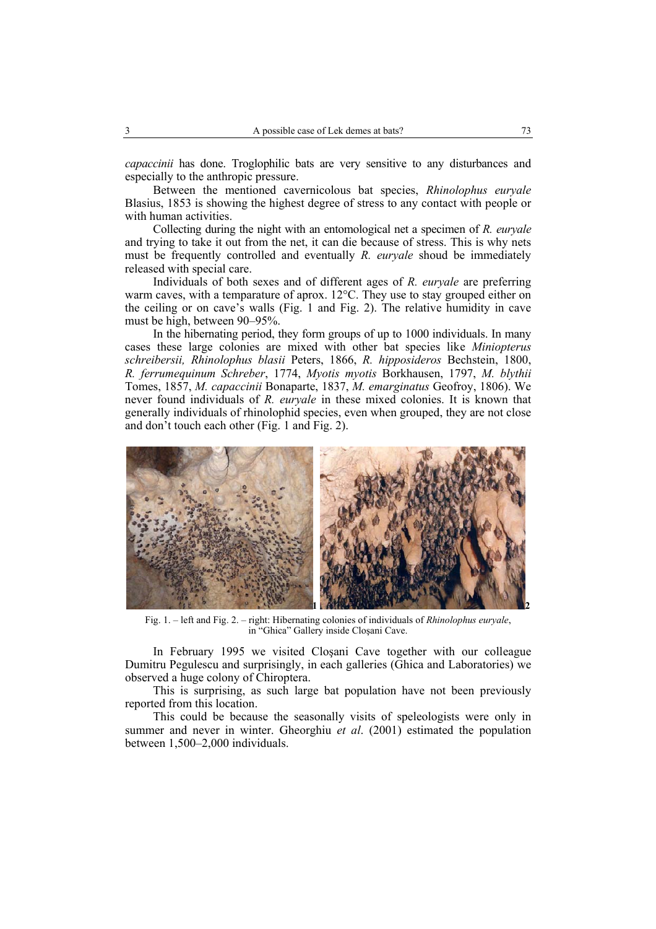*capaccinii* has done. Troglophilic bats are very sensitive to any disturbances and especially to the anthropic pressure.

Between the mentioned cavernicolous bat species, *Rhinolophus euryale*  Blasius, 1853 is showing the highest degree of stress to any contact with people or with human activities.

Collecting during the night with an entomological net a specimen of *R. euryale*  and trying to take it out from the net, it can die because of stress. This is why nets must be frequently controlled and eventually *R. euryale* shoud be immediately released with special care.

Individuals of both sexes and of different ages of *R. euryale* are preferring warm caves, with a temparature of aprox. 12°C. They use to stay grouped either on the ceiling or on cave's walls (Fig. 1 and Fig. 2). The relative humidity in cave must be high, between 90–95%.

In the hibernating period, they form groups of up to 1000 individuals. In many cases these large colonies are mixed with other bat species like *Miniopterus schreibersii, Rhinolophus blasii* Peters, 1866, *R. hipposideros* Bechstein, 1800, *R. ferrumequinum Schreber*, 1774, *Myotis myotis* Borkhausen, 1797, *M. blythii* Tomes, 1857, *M. capaccinii* Bonaparte, 1837, *M. emarginatus* Geofroy, 1806). We never found individuals of *R. euryale* in these mixed colonies. It is known that generally individuals of rhinolophid species, even when grouped, they are not close and don't touch each other (Fig. 1 and Fig. 2).



Fig. 1. – left and Fig. 2. – right: Hibernating colonies of individuals of *Rhinolophus euryale*, in "Ghica" Gallery inside Cloşani Cave.

In February 1995 we visited Cloşani Cave together with our colleague Dumitru Pegulescu and surprisingly, in each galleries (Ghica and Laboratories) we observed a huge colony of Chiroptera.

This is surprising, as such large bat population have not been previously reported from this location.

This could be because the seasonally visits of speleologists were only in summer and never in winter. Gheorghiu *et al*. (2001) estimated the population between 1,500–2,000 individuals.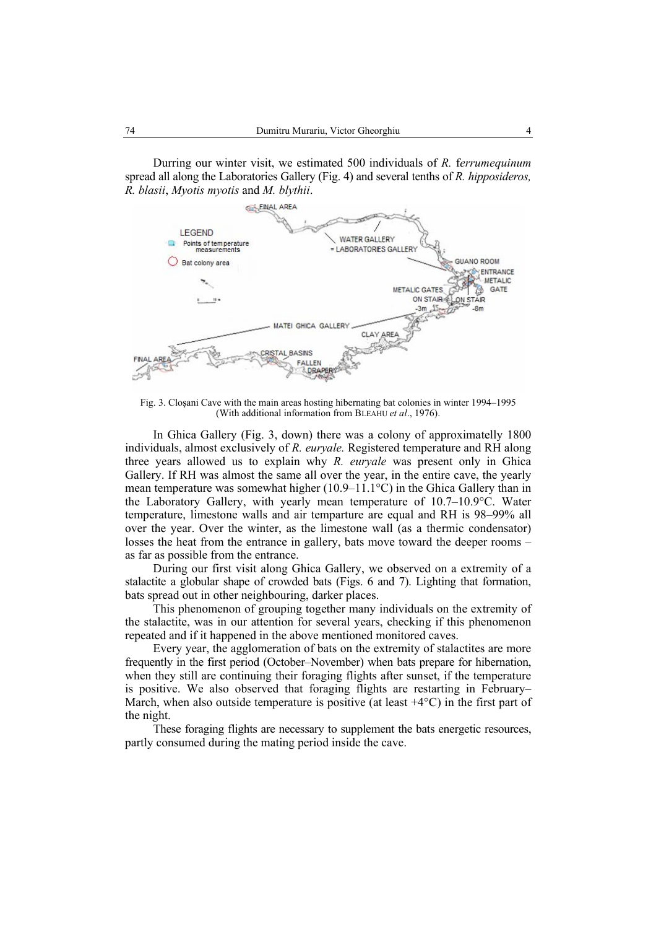Durring our winter visit, we estimated 500 individuals of *R.* f*errumequinum* spread all along the Laboratories Gallery (Fig. 4) and several tenths of *R. hipposideros, R. blasii*, *Myotis myotis* and *M. blythii*.



Fig. 3. Cloşani Cave with the main areas hosting hibernating bat colonies in winter 1994–1995 (With additional information from BLEAHU *et al*., 1976).

In Ghica Gallery (Fig. 3, down) there was a colony of approximatelly 1800 individuals, almost exclusively of *R. euryale.* Registered temperature and RH along three years allowed us to explain why *R. euryale* was present only in Ghica Gallery. If RH was almost the same all over the year, in the entire cave, the yearly mean temperature was somewhat higher (10.9–11.1°C) in the Ghica Gallery than in the Laboratory Gallery, with yearly mean temperature of 10.7–10.9°C. Water temperature, limestone walls and air temparture are equal and RH is 98–99% all over the year. Over the winter, as the limestone wall (as a thermic condensator) losses the heat from the entrance in gallery, bats move toward the deeper rooms – as far as possible from the entrance.

During our first visit along Ghica Gallery, we observed on a extremity of a stalactite a globular shape of crowded bats (Figs. 6 and 7). Lighting that formation, bats spread out in other neighbouring, darker places.

This phenomenon of grouping together many individuals on the extremity of the stalactite, was in our attention for several years, checking if this phenomenon repeated and if it happened in the above mentioned monitored caves.

Every year, the agglomeration of bats on the extremity of stalactites are more frequently in the first period (October–November) when bats prepare for hibernation, when they still are continuing their foraging flights after sunset, if the temperature is positive. We also observed that foraging flights are restarting in February– March, when also outside temperature is positive (at least  $+4^{\circ}C$ ) in the first part of the night.

These foraging flights are necessary to supplement the bats energetic resources, partly consumed during the mating period inside the cave.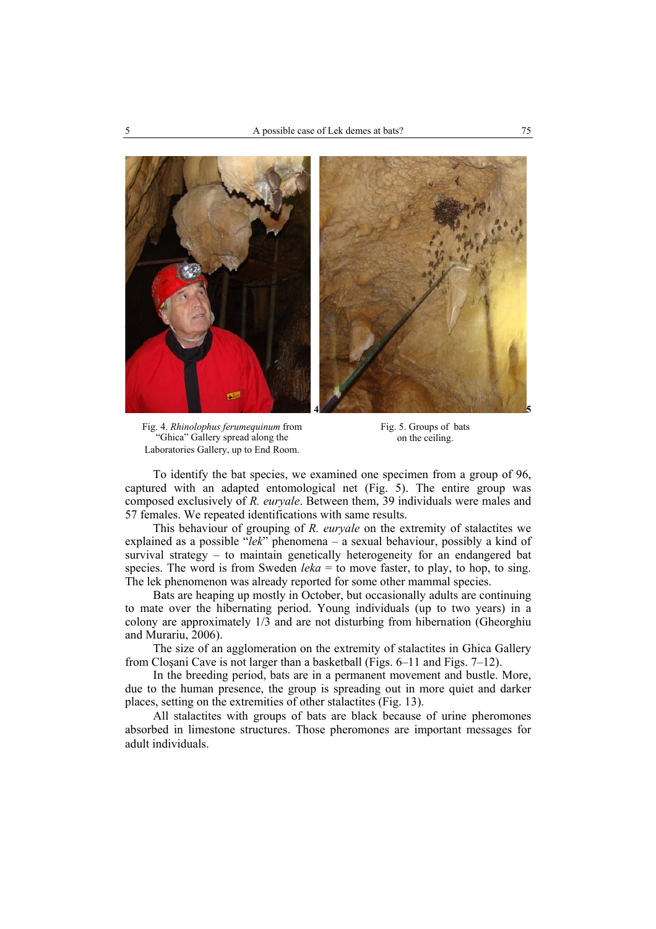

Fig. 4. *Rhinolophus ferumequinum* from "Ghica" Gallery spread along the Laboratories Gallery, up to End Room.

Fig. 5. Groups of bats on the ceiling.

To identify the bat species, we examined one specimen from a group of 96, captured with an adapted entomological net (Fig. 5). The entire group was composed exclusively of *R. euryale*. Between them, 39 individuals were males and 57 females. We repeated identifications with same results.

This behaviour of grouping of *R. euryale* on the extremity of stalactites we explained as a possible "*lek*" phenomena – a sexual behaviour, possibly a kind of survival strategy – to maintain genetically heterogeneity for an endangered bat species. The word is from Sweden *leka* = to move faster, to play, to hop, to sing. The lek phenomenon was already reported for some other mammal species.

Bats are heaping up mostly in October, but occasionally adults are continuing to mate over the hibernating period. Young individuals (up to two years) in a colony are approximately 1/3 and are not disturbing from hibernation (Gheorghiu and Murariu, 2006).

The size of an agglomeration on the extremity of stalactites in Ghica Gallery from Cloşani Cave is not larger than a basketball (Figs. 6–11 and Figs. 7–12).

In the breeding period, bats are in a permanent movement and bustle. More, due to the human presence, the group is spreading out in more quiet and darker places, setting on the extremities of other stalactites (Fig. 13).

All stalactites with groups of bats are black because of urine pheromones absorbed in limestone structures. Those pheromones are important messages for adult individuals.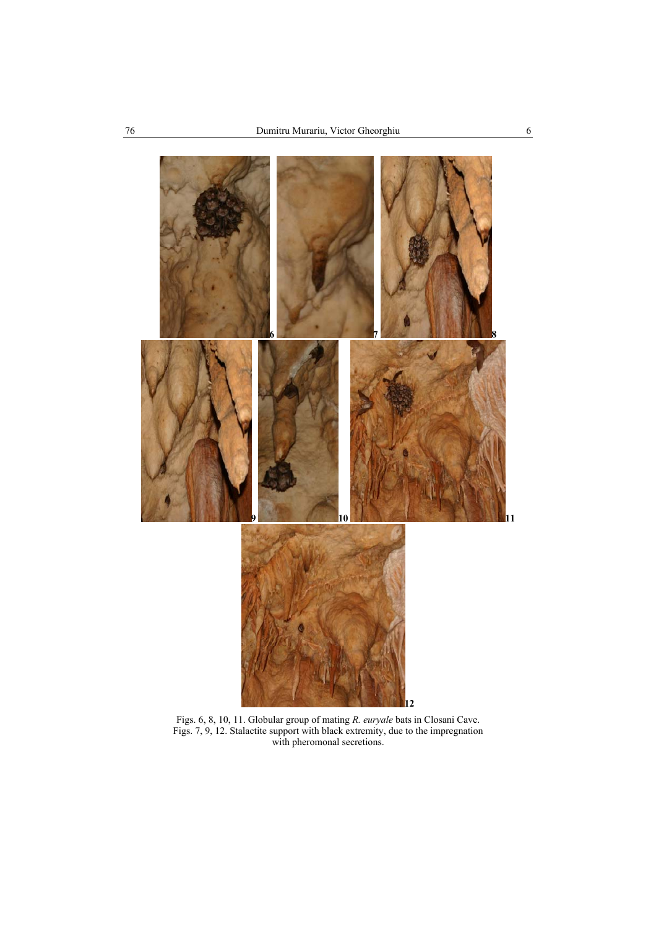

Figs. 6, 8, 10, 11. Globular group of mating *R. euryale* bats in Closani Cave. Figs. 7, 9, 12. Stalactite support with black extremity, due to the impregnation with pheromonal secretions.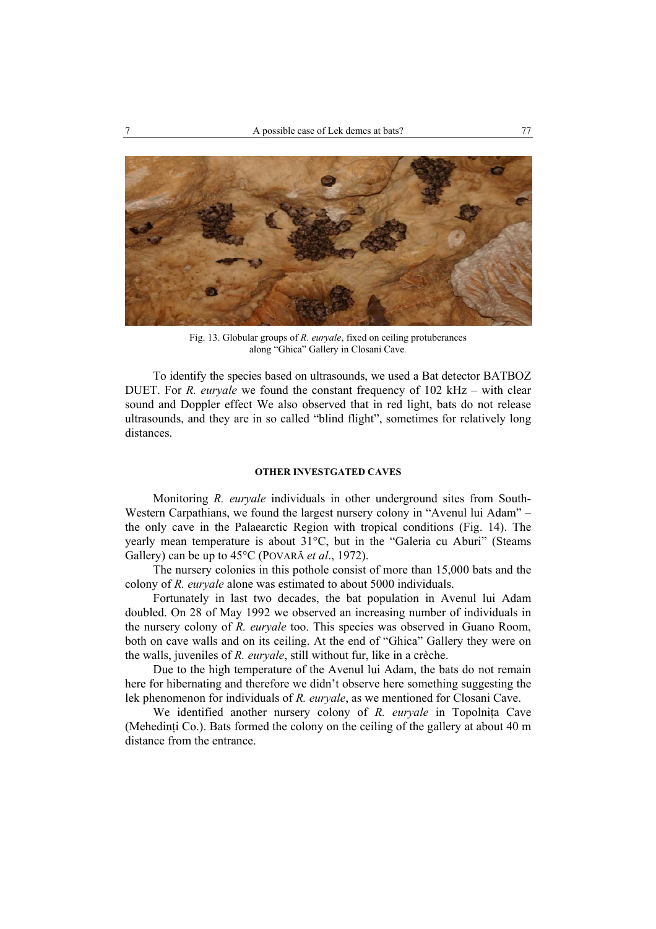

Fig. 13. Globular groups of *R. euryale*, fixed on ceiling protuberances along "Ghica" Gallery in Closani Cave*.* 

To identify the species based on ultrasounds, we used a Bat detector BATBOZ DUET. For *R. euryale* we found the constant frequency of 102 kHz – with clear sound and Doppler effect We also observed that in red light, bats do not release ultrasounds, and they are in so called "blind flight", sometimes for relatively long distances.

# **OTHER INVESTGATED CAVES**

Monitoring *R. euryale* individuals in other underground sites from South-Western Carpathians, we found the largest nursery colony in "Avenul lui Adam" – the only cave in the Palaearctic Region with tropical conditions (Fig. 14). The yearly mean temperature is about 31°C, but in the "Galeria cu Aburi" (Steams Gallery) can be up to 45°C (POVARĂ *et al*., 1972).

The nursery colonies in this pothole consist of more than 15,000 bats and the colony of *R. euryale* alone was estimated to about 5000 individuals.

Fortunately in last two decades, the bat population in Avenul lui Adam doubled. On 28 of May 1992 we observed an increasing number of individuals in the nursery colony of *R. euryale* too. This species was observed in Guano Room, both on cave walls and on its ceiling. At the end of "Ghica" Gallery they were on the walls, juveniles of *R. euryale*, still without fur, like in a crèche.

Due to the high temperature of the Avenul lui Adam, the bats do not remain here for hibernating and therefore we didn't observe here something suggesting the lek phenomenon for individuals of *R. euryale*, as we mentioned for Closani Cave.

We identified another nursery colony of *R. euryale* in Topolnita Cave (Mehedinţi Co.). Bats formed the colony on the ceiling of the gallery at about 40 m distance from the entrance.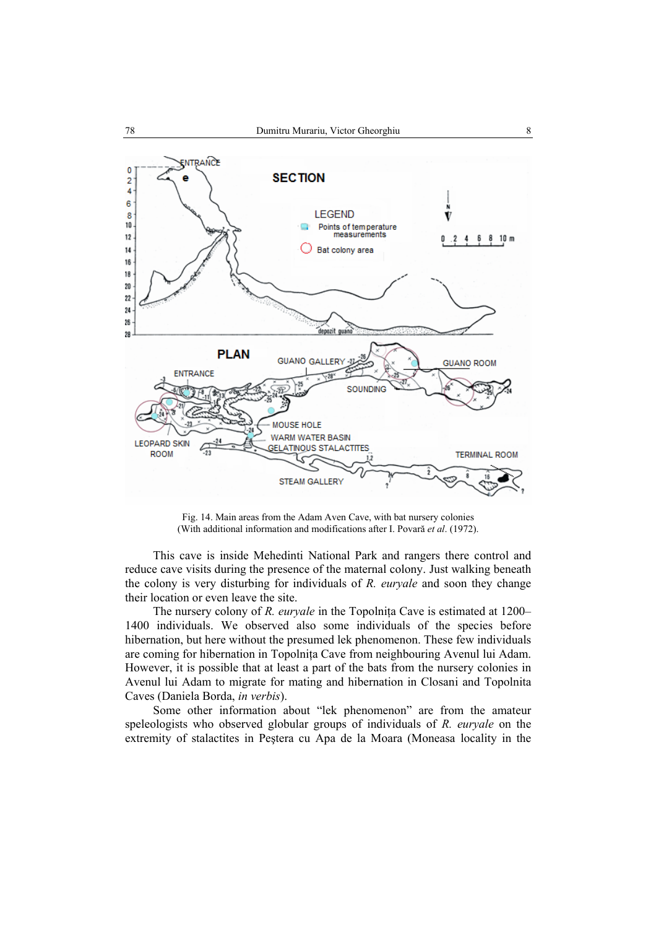

Fig. 14. Main areas from the Adam Aven Cave, with bat nursery colonies (With additional information and modifications after I. Povară *et al*. (1972).

This cave is inside Mehedinti National Park and rangers there control and reduce cave visits during the presence of the maternal colony. Just walking beneath the colony is very disturbing for individuals of *R. euryale* and soon they change their location or even leave the site.

The nursery colony of *R. euryale* in the Topolnita Cave is estimated at 1200– 1400 individuals. We observed also some individuals of the species before hibernation, but here without the presumed lek phenomenon. These few individuals are coming for hibernation in Topolniţa Cave from neighbouring Avenul lui Adam. However, it is possible that at least a part of the bats from the nursery colonies in Avenul lui Adam to migrate for mating and hibernation in Closani and Topolnita Caves (Daniela Borda, *in verbis*).

Some other information about "lek phenomenon" are from the amateur speleologists who observed globular groups of individuals of *R. euryale* on the extremity of stalactites in Peştera cu Apa de la Moara (Moneasa locality in the